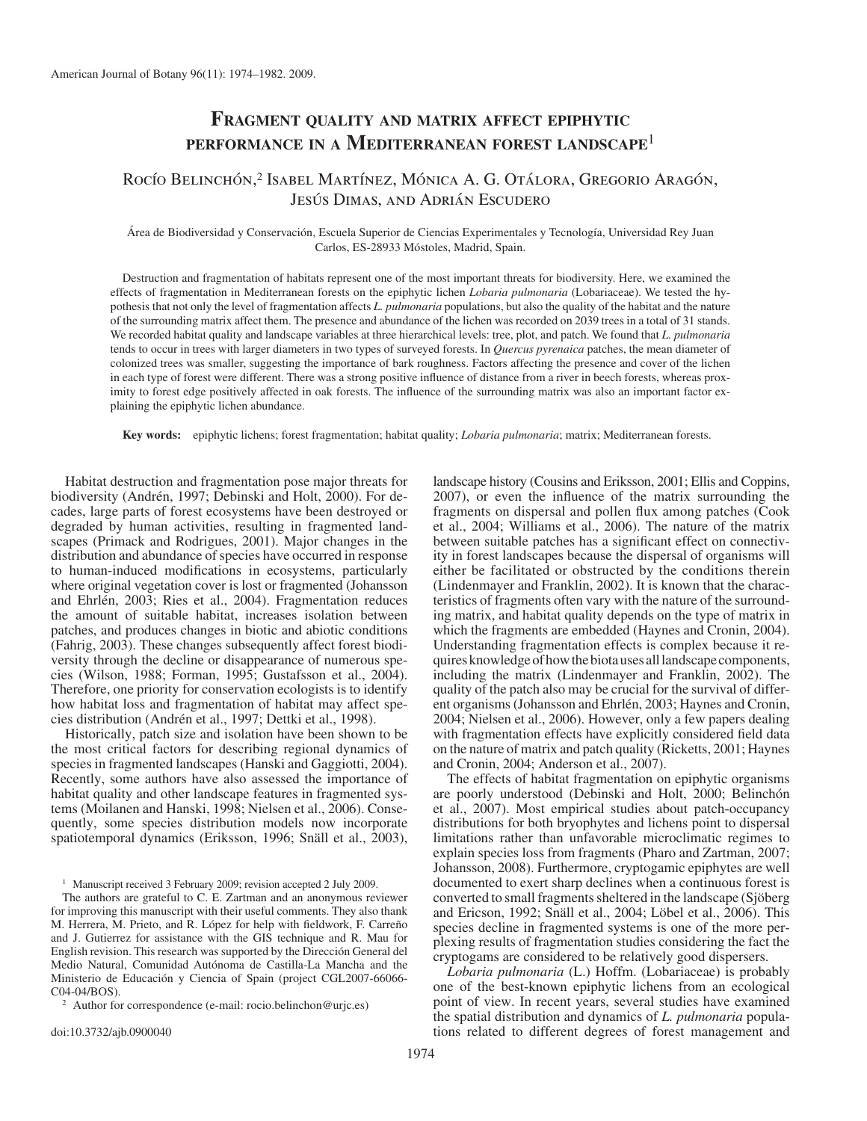# **FRAGMENT QUALITY AND MATRIX AFFECT EPIPHYTIC PERFORMANCE IN A MEDITERRANEAN FOREST LANDSCAPE**<sup>1</sup>

## Rocío Belinchón,<sup>2</sup> Isabel Martínez, Mónica A. G. Otálora, Gregorio Aragón, Jesús Dimas, and Adrián Escudero

 Área de Biodiversidad y Conservación, Escuela Superior de Ciencias Experimentales y Tecnología, Universidad Rey Juan Carlos, ES-28933 Móstoles, Madrid, Spain.

 Destruction and fragmentation of habitats represent one of the most important threats for biodiversity. Here, we examined the effects of fragmentation in Mediterranean forests on the epiphytic lichen *Lobaria pulmonaria* (Lobariaceae ). We tested the hypothesis that not only the level of fragmentation affects *L. pulmonaria* populations, but also the quality of the habitat and the nature of the surrounding matrix affect them. The presence and abundance of the lichen was recorded on 2039 trees in a total of 31 stands. We recorded habitat quality and landscape variables at three hierarchical levels: tree, plot, and patch. We found that *L. pulmonaria* tends to occur in trees with larger diameters in two types of surveyed forests. In *Quercus pyrenaica* patches, the mean diameter of colonized trees was smaller, suggesting the importance of bark roughness. Factors affecting the presence and cover of the lichen in each type of forest were different. There was a strong positive influence of distance from a river in beech forests, whereas proximity to forest edge positively affected in oak forests. The influence of the surrounding matrix was also an important factor explaining the epiphytic lichen abundance.

 **Key words:** epiphytic lichens; forest fragmentation; habitat quality; *Lobaria pulmonaria* ; matrix; Mediterranean forests.

 Habitat destruction and fragmentation pose major threats for biodiversity (Andrén, 1997; Debinski and Holt, 2000). For decades, large parts of forest ecosystems have been destroyed or degraded by human activities, resulting in fragmented landscapes (Primack and Rodrigues, 2001). Major changes in the distribution and abundance of species have occurred in response to human-induced modifications in ecosystems, particularly where original vegetation cover is lost or fragmented (Johansson and Ehrlén, 2003; Ries et al., 2004). Fragmentation reduces the amount of suitable habitat, increases isolation between patches, and produces changes in biotic and abiotic conditions (Fahrig, 2003). These changes subsequently affect forest biodiversity through the decline or disappearance of numerous species (Wilson, 1988; Forman, 1995; Gustafsson et al., 2004). Therefore, one priority for conservation ecologists is to identify how habitat loss and fragmentation of habitat may affect species distribution (Andrén et al., 1997; Dettki et al., 1998).

 Historically, patch size and isolation have been shown to be the most critical factors for describing regional dynamics of species in fragmented landscapes (Hanski and Gaggiotti, 2004). Recently, some authors have also assessed the importance of habitat quality and other landscape features in fragmented systems (Moilanen and Hanski, 1998; Nielsen et al., 2006). Consequently, some species distribution models now incorporate spatiotemporal dynamics (Eriksson, 1996; Snäll et al., 2003),

<sup>1</sup> Manuscript received 3 February 2009; revision accepted 2 July 2009.

 The authors are grateful to C. E. Zartman and an anonymous reviewer for improving this manuscript with their useful comments. They also thank M. Herrera, M. Prieto, and R. López for help with fieldwork, F. Carreño and J. Gutierrez for assistance with the GIS technique and R. Mau for English revision. This research was supported by the Dirección General del Medio Natural, Comunidad Autónoma de Castilla-La Mancha and the Ministerio de Educación y Ciencia of Spain (project CGL2007-66066-C04-04/BOS).

<sup>2</sup> Author for correspondence (e-mail: rocio.belinchon@urjc.es)

doi:10.3732/ajb.0900040

landscape history (Cousins and Eriksson, 2001; Ellis and Coppins, 2007), or even the influence of the matrix surrounding the fragments on dispersal and pollen flux among patches (Cook et al., 2004; Williams et al., 2006). The nature of the matrix between suitable patches has a significant effect on connectivity in forest landscapes because the dispersal of organisms will either be facilitated or obstructed by the conditions therein ( Lindenmayer and Franklin, 2002 ). It is known that the characteristics of fragments often vary with the nature of the surrounding matrix, and habitat quality depends on the type of matrix in which the fragments are embedded (Haynes and Cronin, 2004). Understanding fragmentation effects is complex because it requires knowledge of how the biota uses all landscape components, including the matrix (Lindenmayer and Franklin, 2002). The quality of the patch also may be crucial for the survival of different organisms (Johansson and Ehrlén, 2003; Haynes and Cronin, 2004; Nielsen et al., 2006). However, only a few papers dealing with fragmentation effects have explicitly considered field data on the nature of matrix and patch quality ( Ricketts, 2001 ; Haynes and Cronin, 2004; Anderson et al., 2007).

 The effects of habitat fragmentation on epiphytic organisms are poorly understood (Debinski and Holt, 2000; Belinchón et al., 2007). Most empirical studies about patch-occupancy distributions for both bryophytes and lichens point to dispersal limitations rather than unfavorable microclimatic regimes to explain species loss from fragments (Pharo and Zartman, 2007; Johansson, 2008 ). Furthermore, cryptogamic epiphytes are well documented to exert sharp declines when a continuous forest is converted to small fragments sheltered in the landscape (Sjöberg and Ericson, 1992; Snäll et al., 2004; Löbel et al., 2006). This species decline in fragmented systems is one of the more perplexing results of fragmentation studies considering the fact the cryptogams are considered to be relatively good dispersers.

Lobaria pulmonaria (L.) Hoffm. (Lobariaceae) is probably one of the best-known epiphytic lichens from an ecological point of view. In recent years, several studies have examined the spatial distribution and dynamics of *L. pulmonaria* populations related to different degrees of forest management and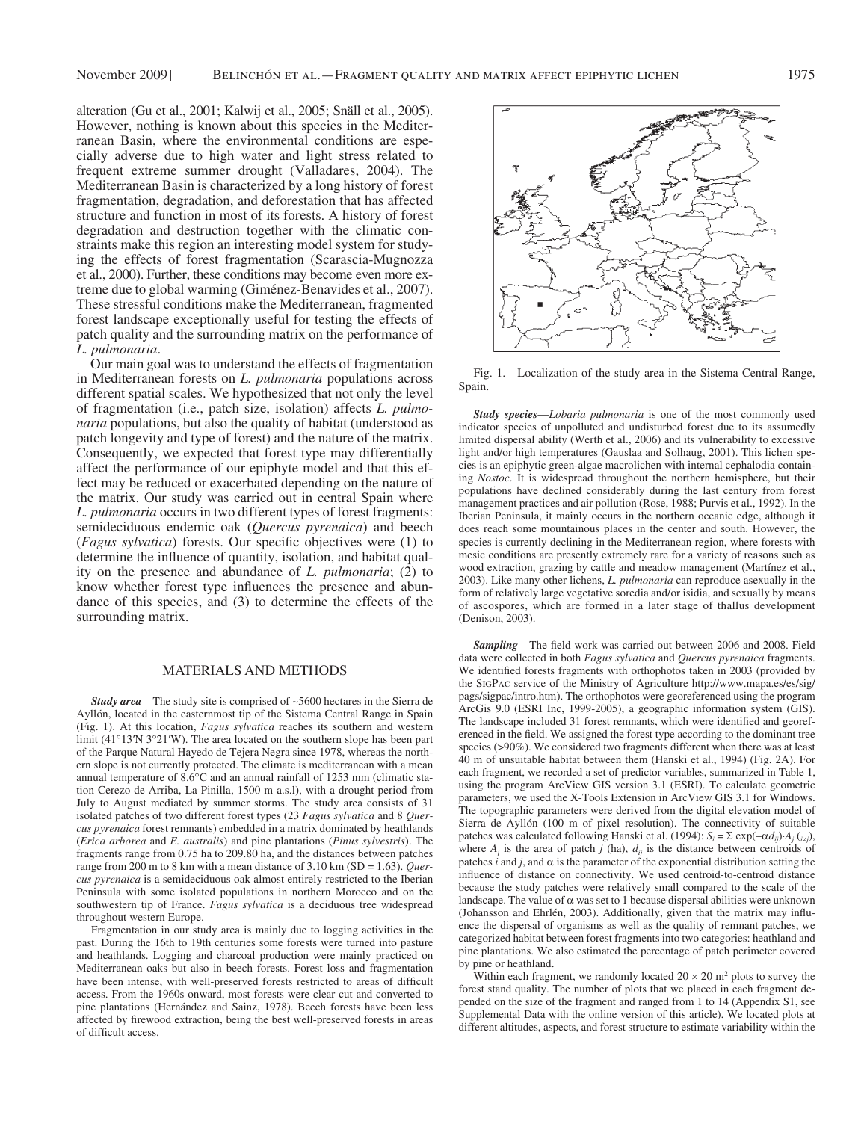alteration (Gu et al., 2001; Kalwij et al., 2005; Snäll et al., 2005). However, nothing is known about this species in the Mediterranean Basin, where the environmental conditions are especially adverse due to high water and light stress related to frequent extreme summer drought (Valladares, 2004). The Mediterranean Basin is characterized by a long history of forest fragmentation, degradation, and deforestation that has affected structure and function in most of its forests. A history of forest degradation and destruction together with the climatic constraints make this region an interesting model system for studying the effects of forest fragmentation (Scarascia-Mugnozza et al., 2000 ). Further, these conditions may become even more extreme due to global warming (Giménez-Benavides et al., 2007). These stressful conditions make the Mediterranean, fragmented forest landscape exceptionally useful for testing the effects of patch quality and the surrounding matrix on the performance of *L. pulmonaria* .

 Our main goal was to understand the effects of fragmentation in Mediterranean forests on *L. pulmonaria* populations across different spatial scales. We hypothesized that not only the level of fragmentation (i.e., patch size, isolation) affects *L. pulmonaria* populations, but also the quality of habitat (understood as patch longevity and type of forest) and the nature of the matrix. Consequently, we expected that forest type may differentially affect the performance of our epiphyte model and that this effect may be reduced or exacerbated depending on the nature of the matrix. Our study was carried out in central Spain where *L. pulmonaria* occurs in two different types of forest fragments: semideciduous endemic oak (*Quercus pyrenaica*) and beech (*Fagus sylvatica*) forests. Our specific objectives were (1) to determine the influence of quantity, isolation, and habitat quality on the presence and abundance of *L. pulmonaria*; (2) to know whether forest type influences the presence and abundance of this species, and (3) to determine the effects of the surrounding matrix.

## MATERIALS AND METHODS

*Study area*—The study site is comprised of ~5600 hectares in the Sierra de Ayllón, located in the easternmost tip of the Sistema Central Range in Spain (Fig. 1). At this location, *Fagus sylvatica* reaches its southern and western limit (41°13'N 3°21'W). The area located on the southern slope has been part of the Parque Natural Hayedo de Tejera Negra since 1978, whereas the northern slope is not currently protected. The climate is mediterranean with a mean annual temperature of  $8.6^{\circ}$ C and an annual rainfall of 1253 mm (climatic station Cerezo de Arriba, La Pinilla, 1500 m a.s.l), with a drought period from July to August mediated by summer storms. The study area consists of 31 isolated patches of two different forest types (23 *Fagus sylvatica* and 8 *Quercus pyrenaica* forest remnants) embedded in a matrix dominated by heathlands ( *Erica arborea* and *E. australis* ) and pine plantations ( *Pinus sylvestris* ). The fragments range from 0.75 ha to 209.80 ha, and the distances between patches range from 200 m to 8 km with a mean distance of 3.10 km (SD = 1.63). *Quercus pyrenaica* is a semideciduous oak almost entirely restricted to the Iberian Peninsula with some isolated populations in northern Morocco and on the southwestern tip of France. *Fagus sylvatica* is a deciduous tree widespread throughout western Europe.

 Fragmentation in our study area is mainly due to logging activities in the past. During the 16th to 19th centuries some forests were turned into pasture and heathlands. Logging and charcoal production were mainly practiced on Mediterranean oaks but also in beech forests. Forest loss and fragmentation have been intense, with well-preserved forests restricted to areas of difficult access. From the 1960s onward, most forests were clear cut and converted to pine plantations (Hernández and Sainz, 1978). Beech forests have been less affected by firewood extraction, being the best well-preserved forests in areas of difficult access.



 Fig. 1. Localization of the study area in the Sistema Central Range, Spain.

*Study species* —*Lobaria pulmonaria* is one of the most commonly used indicator species of unpolluted and undisturbed forest due to its assumedly limited dispersal ability (Werth et al., 2006) and its vulnerability to excessive light and/or high temperatures (Gauslaa and Solhaug, 2001). This lichen species is an epiphytic green-algae macrolichen with internal cephalodia containing *Nostoc* . It is widespread throughout the northern hemisphere, but their populations have declined considerably during the last century from forest management practices and air pollution (Rose, 1988; Purvis et al., 1992). In the Iberian Peninsula, it mainly occurs in the northern oceanic edge, although it does reach some mountainous places in the center and south. However, the species is currently declining in the Mediterranean region, where forests with mesic conditions are presently extremely rare for a variety of reasons such as wood extraction, grazing by cattle and meadow management (Martínez et al., 2003 ). Like many other lichens, *L. pulmonaria* can reproduce asexually in the form of relatively large vegetative soredia and/or isidia, and sexually by means of ascospores, which are formed in a later stage of thallus development ( Denison, 2003 ).

Sampling-The field work was carried out between 2006 and 2008. Field data were collected in both *Fagus sylvatica* and *Quercus pyrenaica* fragments. We identified forests fragments with orthophotos taken in 2003 (provided by the SIGPAC service of the Ministry of Agriculture http://www.mapa.es/es/sig/ pags/sigpac/intro.htm). The orthophotos were georeferenced using the program ArcGis 9.0 (ESRI Inc, 1999-2005), a geographic information system (GIS). The landscape included 31 forest remnants, which were identified and georeferenced in the field. We assigned the forest type according to the dominant tree species (>90%). We considered two fragments different when there was at least 40 m of unsuitable habitat between them (Hanski et al., 1994) (Fig. 2A). For each fragment, we recorded a set of predictor variables, summarized in Table 1, using the program ArcView GIS version 3.1 (ESRI). To calculate geometric parameters, we used the X-Tools Extension in ArcView GIS 3.1 for Windows. The topographic parameters were derived from the digital elevation model of Sierra de Ayllón (100 m of pixel resolution). The connectivity of suitable patches was calculated following Hanski et al. (1994):  $S_i = \sum \exp(-\alpha d_{ij}) \cdot A_j(i_{\neq j})$ , where  $A_j$  is the area of patch *j* (ha),  $d_{ij}$  is the distance between centroids of patches  $i$  and  $j$ , and  $\alpha$  is the parameter of the exponential distribution setting the influence of distance on connectivity. We used centroid-to-centroid distance because the study patches were relatively small compared to the scale of the landscape. The value of  $\alpha$  was set to 1 because dispersal abilities were unknown (Johansson and Ehrlén, 2003). Additionally, given that the matrix may influence the dispersal of organisms as well as the quality of remnant patches, we categorized habitat between forest fragments into two categories: heathland and pine plantations. We also estimated the percentage of patch perimeter covered by pine or heathland.

Within each fragment, we randomly located  $20 \times 20$  m<sup>2</sup> plots to survey the forest stand quality. The number of plots that we placed in each fragment depended on the size of the fragment and ranged from 1 to 14 (Appendix S1, see Supplemental Data with the online version of this article). We located plots at different altitudes, aspects, and forest structure to estimate variability within the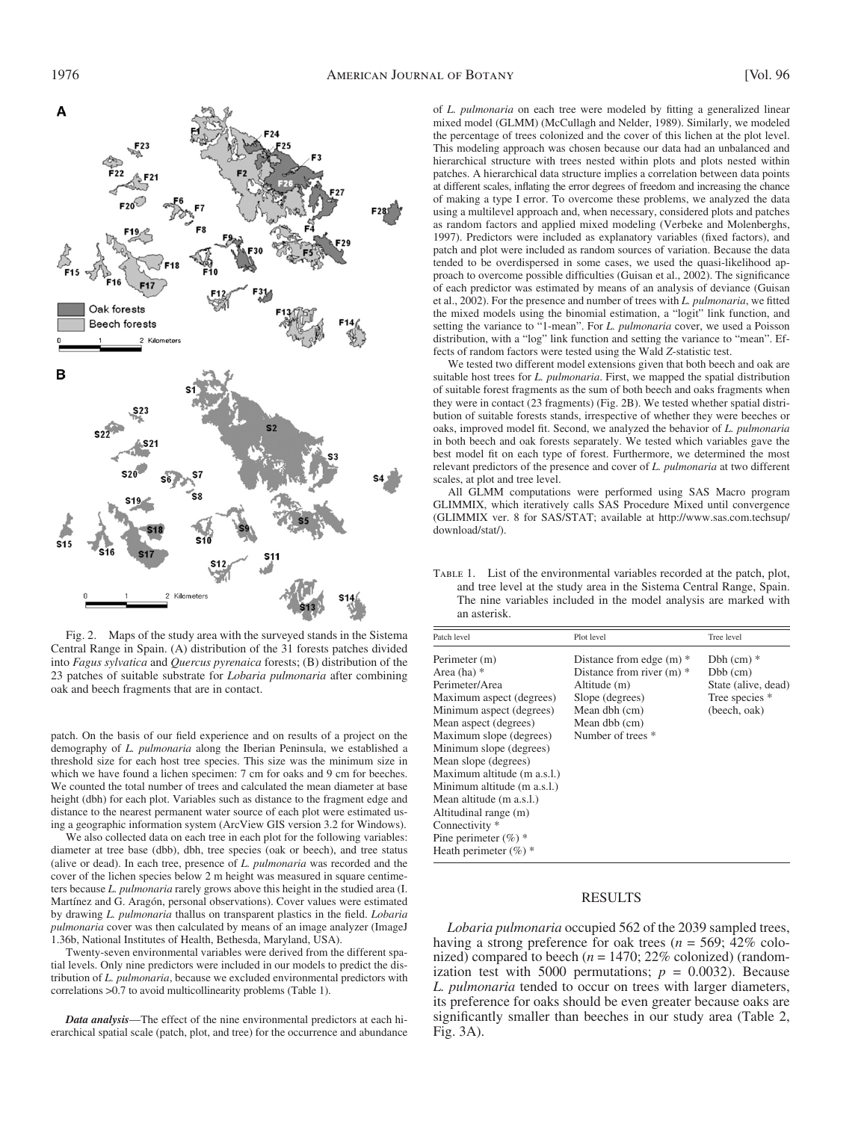

 Fig. 2. Maps of the study area with the surveyed stands in the Sistema Central Range in Spain. (A) distribution of the 31 forests patches divided into *Fagus sylvatica* and *Quercus pyrenaica* forests; (B) distribution of the 23 patches of suitable substrate for *Lobaria pulmonaria* after combining oak and beech fragments that are in contact.

patch. On the basis of our field experience and on results of a project on the demography of *L. pulmonaria* along the Iberian Peninsula, we established a threshold size for each host tree species. This size was the minimum size in which we have found a lichen specimen: 7 cm for oaks and 9 cm for beeches. We counted the total number of trees and calculated the mean diameter at base height (dbh) for each plot. Variables such as distance to the fragment edge and distance to the nearest permanent water source of each plot were estimated using a geographic information system (ArcView GIS version 3.2 for Windows).

 We also collected data on each tree in each plot for the following variables: diameter at tree base (dbb), dbh, tree species (oak or beech), and tree status (alive or dead). In each tree, presence of *L. pulmonaria* was recorded and the cover of the lichen species below 2 m height was measured in square centimeters because *L. pulmonaria* rarely grows above this height in the studied area (I. Martínez and G. Aragón, personal observations). Cover values were estimated by drawing *L. pulmonaria* thallus on transparent plastics in the field. *Lobaria pulmonaria* cover was then calculated by means of an image analyzer (ImageJ 1.36b, National Institutes of Health, Bethesda, Maryland, USA).

 Twenty-seven environmental variables were derived from the different spatial levels. Only nine predictors were included in our models to predict the distribution of *L. pulmonaria* , because we excluded environmental predictors with correlations > 0.7 to avoid multicollinearity problems (Table 1).

*Data analysis* — The effect of the nine environmental predictors at each hierarchical spatial scale (patch, plot, and tree) for the occurrence and abundance of *L. pulmonaria* on each tree were modeled by fitting a generalized linear mixed model (GLMM) ( McCullagh and Nelder, 1989 ). Similarly, we modeled the percentage of trees colonized and the cover of this lichen at the plot level. This modeling approach was chosen because our data had an unbalanced and hierarchical structure with trees nested within plots and plots nested within patches. A hierarchical data structure implies a correlation between data points at different scales, inflating the error degrees of freedom and increasing the chance of making a type I error. To overcome these problems, we analyzed the data using a multilevel approach and, when necessary, considered plots and patches as random factors and applied mixed modeling ( Verbeke and Molenberghs, 1997). Predictors were included as explanatory variables (fixed factors), and patch and plot were included as random sources of variation. Because the data tended to be overdispersed in some cases, we used the quasi-likelihood approach to overcome possible difficulties (Guisan et al., 2002). The significance of each predictor was estimated by means of an analysis of deviance (Guisan et al., 2002). For the presence and number of trees with *L. pulmonaria*, we fitted the mixed models using the binomial estimation, a "logit" link function, and setting the variance to "1-mean". For *L. pulmonaria* cover, we used a Poisson distribution, with a "log" link function and setting the variance to "mean". Effects of random factors were tested using the Wald *Z* -statistic test.

 We tested two different model extensions given that both beech and oak are suitable host trees for *L. pulmonaria* . First, we mapped the spatial distribution of suitable forest fragments as the sum of both beech and oaks fragments when they were in contact (23 fragments) (Fig. 2B). We tested whether spatial distribution of suitable forests stands, irrespective of whether they were beeches or oaks, improved model fit. Second, we analyzed the behavior of *L. pulmonaria* in both beech and oak forests separately. We tested which variables gave the best model fit on each type of forest. Furthermore, we determined the most relevant predictors of the presence and cover of *L. pulmonaria* at two different scales, at plot and tree level.

 All GLMM computations were performed using SAS Macro program GLIMMIX, which iteratively calls SAS Procedure Mixed until convergence (GLIMMIX ver. 8 for SAS/STAT; available at http://www.sas.com.techsup/ download/stat/).

 Table 1. List of the environmental variables recorded at the patch, plot, and tree level at the study area in the Sistema Central Range, Spain. The nine variables included in the model analysis are marked with an asterisk.

| Patch level                                                                                                                                                                                                                                                                                                                                                                                                 | Plot level                                                                                                                                          | Tree level                                                                            |
|-------------------------------------------------------------------------------------------------------------------------------------------------------------------------------------------------------------------------------------------------------------------------------------------------------------------------------------------------------------------------------------------------------------|-----------------------------------------------------------------------------------------------------------------------------------------------------|---------------------------------------------------------------------------------------|
| Perimeter (m)<br>Area (ha) $*$<br>Perimeter/Area<br>Maximum aspect (degrees)<br>Minimum aspect (degrees)<br>Mean aspect (degrees)<br>Maximum slope (degrees)<br>Minimum slope (degrees)<br>Mean slope (degrees)<br>Maximum altitude (m a.s.l.)<br>Minimum altitude (m a.s.l.)<br>Mean altitude (m a.s.l.)<br>Altitudinal range (m)<br>Connectivity *<br>Pine perimeter $(\%)^*$<br>Heath perimeter $(\%)$ * | Distance from edge $(m)$ *<br>Distance from river $(m)$ *<br>Altitude (m)<br>Slope (degrees)<br>Mean dbh (cm)<br>Mean dbb (cm)<br>Number of trees * | $Dbh$ (cm) $*$<br>$Dbb$ (cm)<br>State (alive, dead)<br>Tree species *<br>(beech, oak) |

#### RESULTS

*Lobaria pulmonaria* occupied 562 of the 2039 sampled trees, having a strong preference for oak trees ( $n = 569$ ; 42% colonized) compared to beech ( $n = 1470$ ; 22% colonized) (randomization test with 5000 permutations;  $p = 0.0032$ ). Because *L. pulmonaria* tended to occur on trees with larger diameters, its preference for oaks should be even greater because oaks are significantly smaller than beeches in our study area (Table 2, Fig.  $3A$ ).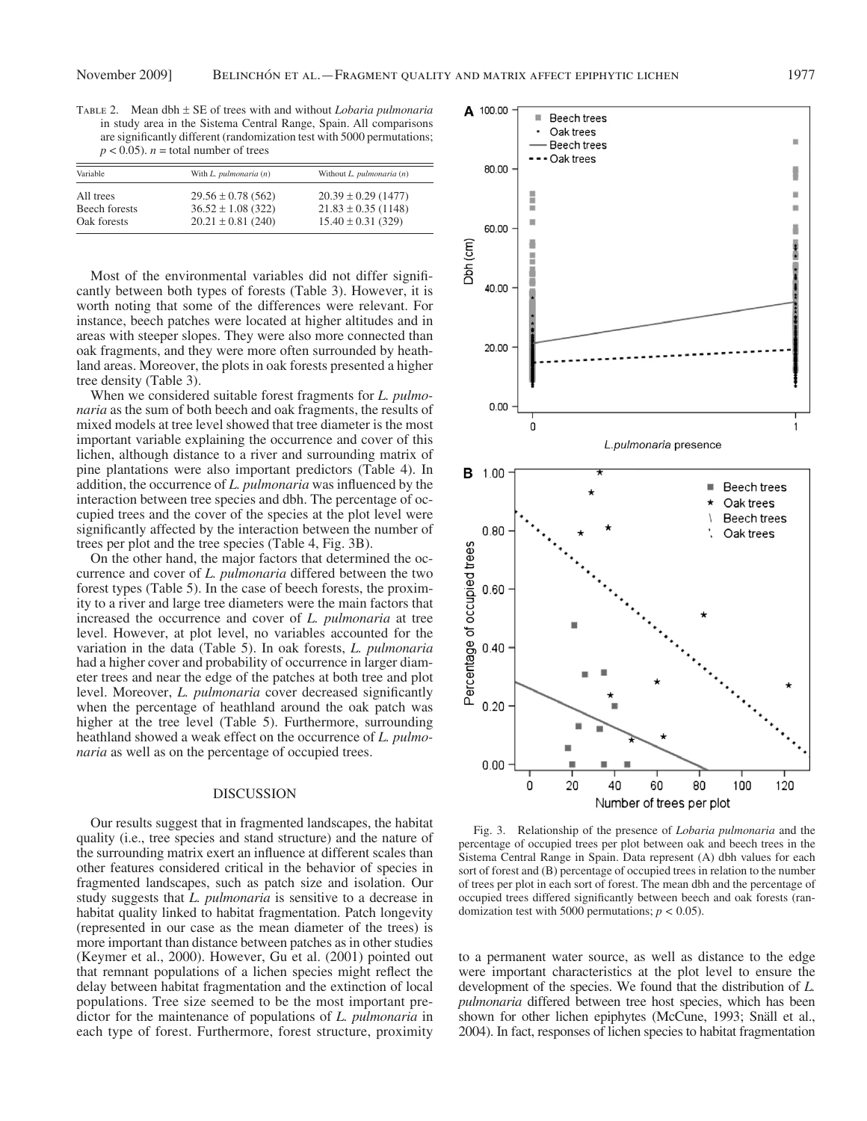Table 2. Mean dbh ± SE of trees with and without *Lobaria pulmonaria* in study area in the Sistema Central Range, Spain. All comparisons are significantly different (randomization test with 5000 permutations;  $p < 0.05$ ). *n* = total number of trees

| Variable      | With L. pulmonaria (n) | Without $L.$ pulmonaria $(n)$ |
|---------------|------------------------|-------------------------------|
| All trees     | $29.56 \pm 0.78$ (562) | $20.39 \pm 0.29$ (1477)       |
| Beech forests | $36.52 \pm 1.08$ (322) | $21.83 \pm 0.35$ (1148)       |
| Oak forests   | $20.21 \pm 0.81$ (240) | $15.40 \pm 0.31$ (329)        |

Most of the environmental variables did not differ significantly between both types of forests (Table 3). However, it is worth noting that some of the differences were relevant. For instance, beech patches were located at higher altitudes and in areas with steeper slopes. They were also more connected than oak fragments, and they were more often surrounded by heathland areas. Moreover, the plots in oak forests presented a higher tree density (Table 3).

 When we considered suitable forest fragments for *L. pulmonaria* as the sum of both beech and oak fragments, the results of mixed models at tree level showed that tree diameter is the most important variable explaining the occurrence and cover of this lichen, although distance to a river and surrounding matrix of pine plantations were also important predictors (Table 4). In addition, the occurrence of *L. pulmonaria* was influenced by the interaction between tree species and dbh. The percentage of occupied trees and the cover of the species at the plot level were significantly affected by the interaction between the number of trees per plot and the tree species (Table 4, Fig. 3B).

 On the other hand, the major factors that determined the occurrence and cover of *L. pulmonaria* differed between the two forest types (Table 5). In the case of beech forests, the proximity to a river and large tree diameters were the main factors that increased the occurrence and cover of *L. pulmonaria* at tree level. However, at plot level, no variables accounted for the variation in the data (Table 5). In oak forests, *L. pulmonaria* had a higher cover and probability of occurrence in larger diameter trees and near the edge of the patches at both tree and plot level. Moreover, *L. pulmonaria* cover decreased significantly when the percentage of heathland around the oak patch was higher at the tree level (Table 5). Furthermore, surrounding heathland showed a weak effect on the occurrence of *L. pulmonaria* as well as on the percentage of occupied trees.

## DISCUSSION

 Our results suggest that in fragmented landscapes, the habitat quality (i.e., tree species and stand structure) and the nature of the surrounding matrix exert an influence at different scales than other features considered critical in the behavior of species in fragmented landscapes, such as patch size and isolation. Our study suggests that *L. pulmonaria* is sensitive to a decrease in habitat quality linked to habitat fragmentation. Patch longevity (represented in our case as the mean diameter of the trees) is more important than distance between patches as in other studies (Keymer et al., 2000). However, Gu et al. (2001) pointed out that remnant populations of a lichen species might reflect the delay between habitat fragmentation and the extinction of local populations. Tree size seemed to be the most important predictor for the maintenance of populations of *L. pulmonaria* in each type of forest. Furthermore, forest structure, proximity



 Fig. 3. Relationship of the presence of *Lobaria pulmonaria* and the percentage of occupied trees per plot between oak and beech trees in the Sistema Central Range in Spain. Data represent (A) dbh values for each sort of forest and (B) percentage of occupied trees in relation to the number of trees per plot in each sort of forest. The mean dbh and the percentage of occupied trees differed significantly between beech and oak forests (randomization test with 5000 permutations;  $p < 0.05$ ).

to a permanent water source, as well as distance to the edge were important characteristics at the plot level to ensure the development of the species. We found that the distribution of *L. pulmonaria* differed between tree host species, which has been shown for other lichen epiphytes (McCune, 1993; Snäll et al., 2004 ). In fact, responses of lichen species to habitat fragmentation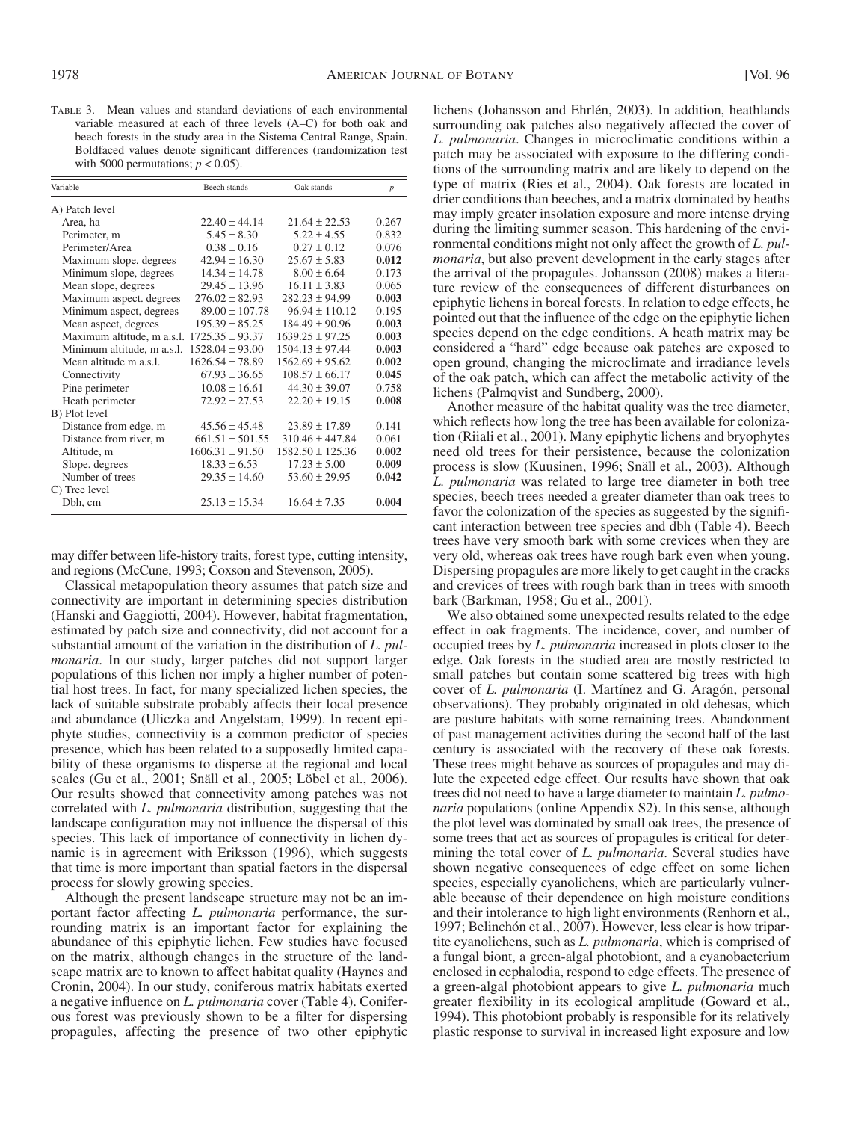Table 3. Mean values and standard deviations of each environmental variable measured at each of three levels (A-C) for both oak and beech forests in the study area in the Sistema Central Range, Spain. Boldfaced values denote significant differences (randomization test with 5000 permutations;  $p < 0.05$ ).

| Variable                   | Beech stands        | Oak stands           | $\boldsymbol{p}$ |
|----------------------------|---------------------|----------------------|------------------|
| A) Patch level             |                     |                      |                  |
| Area, ha                   | $22.40 + 44.14$     | $21.64 + 22.53$      | 0.267            |
| Perimeter, m               | $5.45 \pm 8.30$     | $5.22 \pm 4.55$      | 0.832            |
| Perimeter/Area             | $0.38 + 0.16$       | $0.27 + 0.12$        | 0.076            |
| Maximum slope, degrees     | $42.94 \pm 16.30$   | $25.67 \pm 5.83$     | 0.012            |
| Minimum slope, degrees     | $14.34 + 14.78$     | $8.00 + 6.64$        | 0.173            |
| Mean slope, degrees        | $29.45 + 13.96$     | $16.11 + 3.83$       | 0.065            |
| Maximum aspect. degrees    | $276.02 \pm 82.93$  | $282.23 \pm 94.99$   | 0.003            |
| Minimum aspect, degrees    | $89.00 \pm 107.78$  | $96.94 \pm 110.12$   | 0.195            |
| Mean aspect, degrees       | $195.39 \pm 85.25$  | $184.49 \pm 90.96$   | 0.003            |
| Maximum altitude, m a.s.l. | $1725.35 + 93.37$   | $1639.25 + 97.25$    | 0.003            |
| Minimum altitude, m a.s.l. | $1528.04 \pm 93.00$ | $1504.13 \pm 97.44$  | 0.003            |
| Mean altitude m a s 1      | $1626.54 \pm 78.89$ | $1562.69 \pm 95.62$  | 0.002            |
| Connectivity               | $67.93 \pm 36.65$   | $108.57 \pm 66.17$   | 0.045            |
| Pine perimeter             | $10.08 \pm 16.61$   | $44.30 \pm 39.07$    | 0.758            |
| Heath perimeter            | $72.92 \pm 27.53$   | $22.20 \pm 19.15$    | 0.008            |
| B) Plot level              |                     |                      |                  |
| Distance from edge, m      | $45.56 + 45.48$     | $23.89 \pm 17.89$    | 0.141            |
| Distance from river, m     | $661.51 \pm 501.55$ | $310.46 \pm 447.84$  | 0.061            |
| Altitude, m                | $1606.31 \pm 91.50$ | $1582.50 \pm 125.36$ | 0.002            |
| Slope, degrees             | $18.33 \pm 6.53$    | $17.23 + 5.00$       | 0.009            |
| Number of trees            | $29.35 \pm 14.60$   | $53.60 \pm 29.95$    | 0.042            |
| C) Tree level              |                     |                      |                  |
| Dbh, cm                    | $25.13 \pm 15.34$   | $16.64 + 7.35$       | 0.004            |
|                            |                     |                      |                  |

may differ between life-history traits, forest type, cutting intensity, and regions (McCune, 1993; Coxson and Stevenson, 2005).

 Classical metapopulation theory assumes that patch size and connectivity are important in determining species distribution ( Hanski and Gaggiotti, 2004 ). However, habitat fragmentation, estimated by patch size and connectivity, did not account for a substantial amount of the variation in the distribution of *L. pulmonaria* . In our study, larger patches did not support larger populations of this lichen nor imply a higher number of potential host trees. In fact, for many specialized lichen species, the lack of suitable substrate probably affects their local presence and abundance (Uliczka and Angelstam, 1999). In recent epiphyte studies, connectivity is a common predictor of species presence, which has been related to a supposedly limited capability of these organisms to disperse at the regional and local scales (Gu et al., 2001; Snäll et al., 2005; Löbel et al., 2006). Our results showed that connectivity among patches was not correlated with *L. pulmonaria* distribution, suggesting that the landscape configuration may not influence the dispersal of this species. This lack of importance of connectivity in lichen dynamic is in agreement with Eriksson (1996), which suggests that time is more important than spatial factors in the dispersal process for slowly growing species.

 Although the present landscape structure may not be an important factor affecting *L. pulmonaria* performance, the surrounding matrix is an important factor for explaining the abundance of this epiphytic lichen. Few studies have focused on the matrix, although changes in the structure of the landscape matrix are to known to affect habitat quality ( Haynes and Cronin, 2004). In our study, coniferous matrix habitats exerted a negative influence on *L. pulmonaria* cover (Table 4). Coniferous forest was previously shown to be a filter for dispersing propagules, affecting the presence of two other epiphytic

lichens (Johansson and Ehrlén, 2003). In addition, heathlands surrounding oak patches also negatively affected the cover of *L. pulmonaria* . Changes in microclimatic conditions within a patch may be associated with exposure to the differing conditions of the surrounding matrix and are likely to depend on the type of matrix (Ries et al., 2004). Oak forests are located in drier conditions than beeches, and a matrix dominated by heaths may imply greater insolation exposure and more intense drying during the limiting summer season. This hardening of the environmental conditions might not only affect the growth of *L. pulmonaria* , but also prevent development in the early stages after the arrival of the propagules. Johansson (2008) makes a literature review of the consequences of different disturbances on epiphytic lichens in boreal forests. In relation to edge effects, he pointed out that the influence of the edge on the epiphytic lichen species depend on the edge conditions. A heath matrix may be considered a "hard" edge because oak patches are exposed to open ground, changing the microclimate and irradiance levels of the oak patch, which can affect the metabolic activity of the lichens (Palmqvist and Sundberg, 2000).

 Another measure of the habitat quality was the tree diameter, which reflects how long the tree has been available for colonization (Riiali et al., 2001). Many epiphytic lichens and bryophytes need old trees for their persistence, because the colonization process is slow (Kuusinen, 1996; Snäll et al., 2003). Although *L. pulmonaria* was related to large tree diameter in both tree species, beech trees needed a greater diameter than oak trees to favor the colonization of the species as suggested by the significant interaction between tree species and dbh (Table 4). Beech trees have very smooth bark with some crevices when they are very old, whereas oak trees have rough bark even when young. Dispersing propagules are more likely to get caught in the cracks and crevices of trees with rough bark than in trees with smooth bark (Barkman, 1958; Gu et al., 2001).

 We also obtained some unexpected results related to the edge effect in oak fragments. The incidence, cover, and number of occupied trees by *L. pulmonaria* increased in plots closer to the edge. Oak forests in the studied area are mostly restricted to small patches but contain some scattered big trees with high cover of *L. pulmonaria* (I. Martínez and G. Aragón, personal observations). They probably originated in old dehesas, which are pasture habitats with some remaining trees. Abandonment of past management activities during the second half of the last century is associated with the recovery of these oak forests. These trees might behave as sources of propagules and may dilute the expected edge effect. Our results have shown that oak trees did not need to have a large diameter to maintain *L. pulmonaria* populations (online Appendix S2). In this sense, although the plot level was dominated by small oak trees, the presence of some trees that act as sources of propagules is critical for determining the total cover of *L. pulmonaria* . Several studies have shown negative consequences of edge effect on some lichen species, especially cyanolichens, which are particularly vulnerable because of their dependence on high moisture conditions and their intolerance to high light environments ( Renhorn et al., 1997; Belinchón et al., 2007). However, less clear is how tripartite cyanolichens, such as *L. pulmonaria* , which is comprised of a fungal biont, a green-algal photobiont, and a cyanobacterium enclosed in cephalodia, respond to edge effects. The presence of a green-algal photobiont appears to give *L. pulmonaria* much greater flexibility in its ecological amplitude (Goward et al., 1994). This photobiont probably is responsible for its relatively plastic response to survival in increased light exposure and low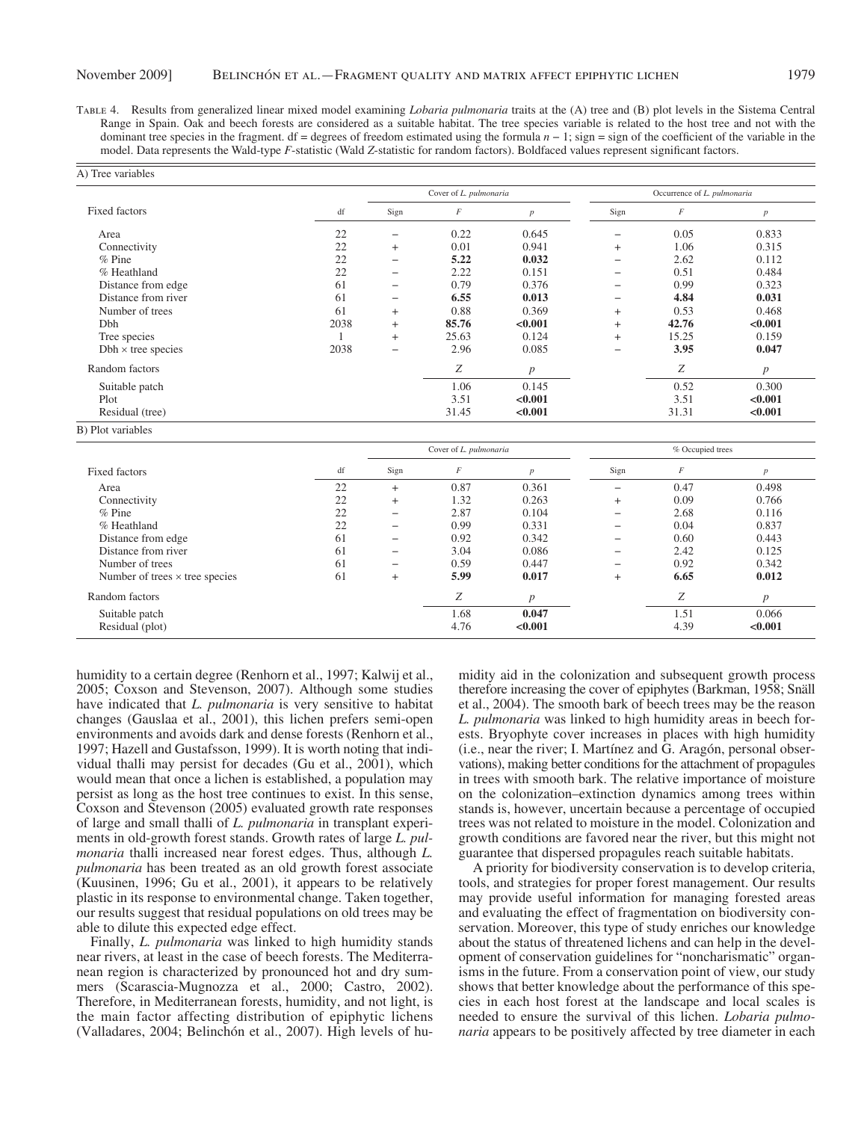Table 4. Results from generalized linear mixed model examining *Lobaria pulmonaria* traits at the (A) tree and (B) plot levels in the Sistema Central Range in Spain. Oak and beech forests are considered as a suitable habitat. The tree species variable is related to the host tree and not with the dominant tree species in the fragment. df = degrees of freedom estimated using the formula  $n - 1$ ; sign = sign of the coefficient of the variable in the model. Data represents the Wald-type *F*-statistic (Wald Z-statistic for random factors). Boldfaced values represent significant factors.

|                           |      | Cover of L. pulmonaria |          |                  | Occurrence of L. pulmonaria |       |                  |  |
|---------------------------|------|------------------------|----------|------------------|-----------------------------|-------|------------------|--|
| <b>Fixed factors</b>      | df   | Sign                   | $\cal F$ | $\boldsymbol{p}$ | Sign                        | F     | $\boldsymbol{p}$ |  |
| Area                      | 22   | —                      | 0.22     | 0.645            |                             | 0.05  | 0.833            |  |
| Connectivity              | 22   | $^{+}$                 | 0.01     | 0.941            | $^{+}$                      | 1.06  | 0.315            |  |
| $%$ Pine                  | 22   | $\qquad \qquad -$      | 5.22     | 0.032            |                             | 2.62  | 0.112            |  |
| % Heathland               | 22   |                        | 2.22     | 0.151            |                             | 0.51  | 0.484            |  |
| Distance from edge        | 61   | —                      | 0.79     | 0.376            |                             | 0.99  | 0.323            |  |
| Distance from river       | 61   | $\qquad \qquad -$      | 6.55     | 0.013            |                             | 4.84  | 0.031            |  |
| Number of trees           | 61   | $^{+}$                 | 0.88     | 0.369            | $^{+}$                      | 0.53  | 0.468            |  |
| Dbh                       | 2038 | $^{+}$                 | 85.76    | < 0.001          | $^{+}$                      | 42.76 | < 0.001          |  |
| Tree species              |      | $^{+}$                 | 25.63    | 0.124            | $^{+}$                      | 15.25 | 0.159            |  |
| $Dbh \times$ tree species | 2038 | -                      | 2.96     | 0.085            |                             | 3.95  | 0.047            |  |
| Random factors            |      |                        | Ζ        | $\boldsymbol{p}$ |                             | Ζ     | $\boldsymbol{p}$ |  |
| Suitable patch            |      |                        | 1.06     | 0.145            |                             | 0.52  | 0.300            |  |
| Plot                      |      |                        | 3.51     | < 0.001          |                             | 3.51  | < 0.001          |  |
| Residual (tree)           |      |                        | 31.45    | < 0.001          |                             | 31.31 | < 0.001          |  |
| B) Plot variables         |      |                        |          |                  |                             |       |                  |  |
|                           |      | Cover of L. pulmonaria |          |                  | % Occupied trees            |       |                  |  |

|                                       |    |        |      | <i>re</i> occupied trees |                          |                  |                  |
|---------------------------------------|----|--------|------|--------------------------|--------------------------|------------------|------------------|
| <b>Fixed factors</b>                  | df | Sign   | F    | p                        | Sign                     | $\boldsymbol{E}$ | $\overline{p}$   |
| Area                                  | 22 | $^{+}$ | 0.87 | 0.361                    | $\overline{\phantom{0}}$ | 0.47             | 0.498            |
| Connectivity                          | 22 | $^{+}$ | 1.32 | 0.263                    | $^{+}$                   | 0.09             | 0.766            |
| $%$ Pine                              | 22 | -      | 2.87 | 0.104                    | $\overline{\phantom{0}}$ | 2.68             | 0.116            |
| % Heathland                           | 22 | -      | 0.99 | 0.331                    |                          | 0.04             | 0.837            |
| Distance from edge                    | 61 | -      | 0.92 | 0.342                    | -                        | 0.60             | 0.443            |
| Distance from river                   | 61 | -      | 3.04 | 0.086                    | $\overline{\phantom{0}}$ | 2.42             | 0.125            |
| Number of trees                       | 61 | -      | 0.59 | 0.447                    | $\overline{\phantom{0}}$ | 0.92             | 0.342            |
| Number of trees $\times$ tree species | 61 | $^{+}$ | 5.99 | 0.017                    | $^{+}$                   | 6.65             | 0.012            |
| Random factors                        |    |        | Z    | p                        |                          | $\overline{ }$   | $\boldsymbol{p}$ |
| Suitable patch                        |    |        | 1.68 | 0.047                    |                          | 1.51             | 0.066            |
| Residual (plot)                       |    |        | 4.76 | < 0.001                  |                          | 4.39             | < 0.001          |

humidity to a certain degree (Renhorn et al., 1997; Kalwij et al., 2005; Coxson and Stevenson, 2007). Although some studies have indicated that *L. pulmonaria* is very sensitive to habitat changes (Gauslaa et al., 2001), this lichen prefers semi-open environments and avoids dark and dense forests (Renhorn et al., 1997; Hazell and Gustafsson, 1999). It is worth noting that individual thalli may persist for decades (Gu et al., 2001), which would mean that once a lichen is established, a population may persist as long as the host tree continues to exist. In this sense, Coxson and Stevenson (2005) evaluated growth rate responses of large and small thalli of *L. pulmonaria* in transplant experiments in old-growth forest stands. Growth rates of large *L. pulmonaria* thalli increased near forest edges. Thus, although *L. pulmonaria* has been treated as an old growth forest associate (Kuusinen, 1996; Gu et al., 2001), it appears to be relatively plastic in its response to environmental change. Taken together, our results suggest that residual populations on old trees may be able to dilute this expected edge effect.

 Finally, *L. pulmonaria* was linked to high humidity stands near rivers, at least in the case of beech forests. The Mediterranean region is characterized by pronounced hot and dry summers (Scarascia-Mugnozza et al., 2000; Castro, 2002). Therefore, in Mediterranean forests, humidity, and not light, is the main factor affecting distribution of epiphytic lichens (Valladares, 2004; Belinchón et al., 2007). High levels of humidity aid in the colonization and subsequent growth process therefore increasing the cover of epiphytes (Barkman, 1958; Snäll et al., 2004). The smooth bark of beech trees may be the reason *L. pulmonaria* was linked to high humidity areas in beech forests. Bryophyte cover increases in places with high humidity (i.e., near the river; I. Martínez and G. Aragón, personal observations), making better conditions for the attachment of propagules in trees with smooth bark. The relative importance of moisture on the colonization-extinction dynamics among trees within stands is, however, uncertain because a percentage of occupied trees was not related to moisture in the model. Colonization and growth conditions are favored near the river, but this might not guarantee that dispersed propagules reach suitable habitats.

 A priority for biodiversity conservation is to develop criteria, tools, and strategies for proper forest management. Our results may provide useful information for managing forested areas and evaluating the effect of fragmentation on biodiversity conservation. Moreover, this type of study enriches our knowledge about the status of threatened lichens and can help in the development of conservation guidelines for "noncharismatic" organisms in the future. From a conservation point of view, our study shows that better knowledge about the performance of this species in each host forest at the landscape and local scales is needed to ensure the survival of this lichen. *Lobaria pulmonaria* appears to be positively affected by tree diameter in each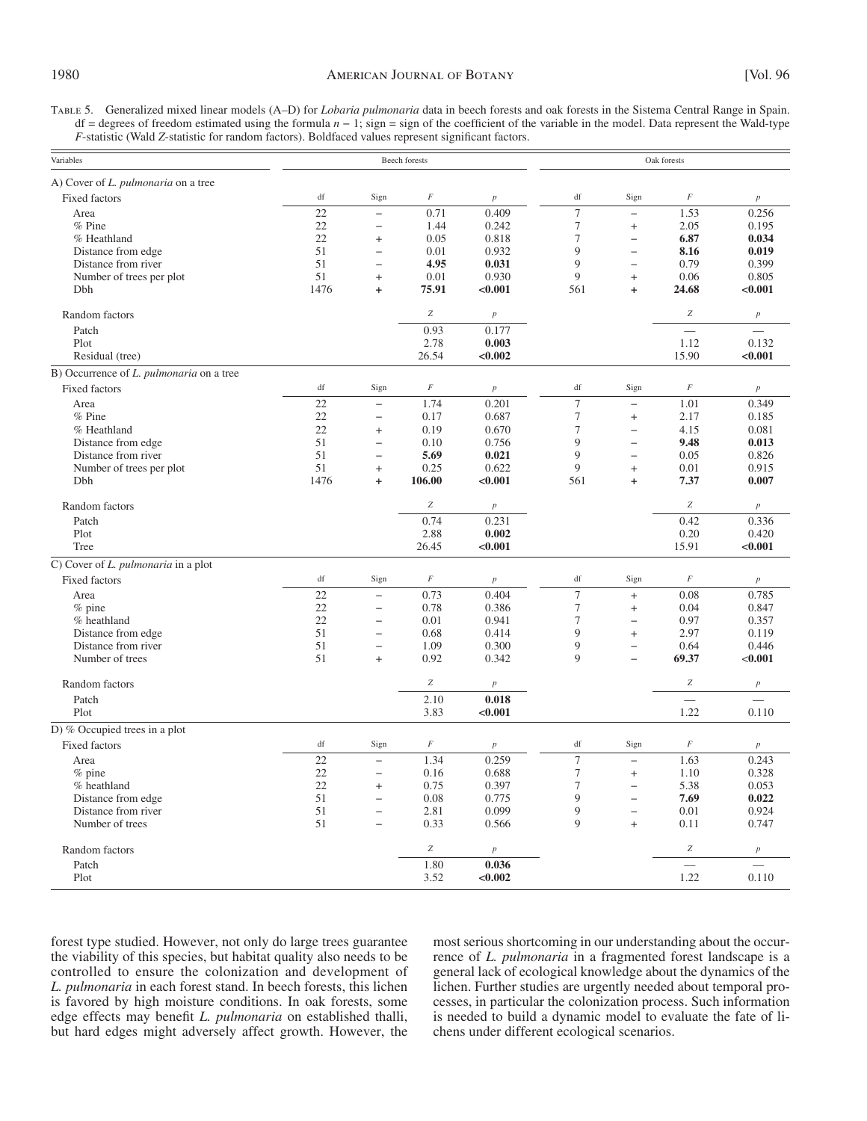TABLE 5. Generalized mixed linear models (A-D) for *Lobaria pulmonaria* data in beech forests and oak forests in the Sistema Central Range in Spain. df = degrees of freedom estimated using the formula  $n - 1$ ; sign = sign of the coefficient of the variable in the model. Data represent the Wald-type *F*-statistic (Wald *Z*-statistic for random factors). Boldfaced values represent significant factors.

| Variables                                       |            |                                                      | <b>Beech</b> forests |                  | Oak forests                         |                                |                          |                  |
|-------------------------------------------------|------------|------------------------------------------------------|----------------------|------------------|-------------------------------------|--------------------------------|--------------------------|------------------|
| A) Cover of L. pulmonaria on a tree             |            |                                                      |                      |                  |                                     |                                |                          |                  |
| <b>Fixed factors</b>                            | df         | Sign                                                 | $\cal F$             | $\boldsymbol{p}$ | df                                  | Sign                           | $\cal F$                 | $\boldsymbol{p}$ |
| Area                                            | 22         | $\qquad \qquad -$                                    | 0.71                 | 0.409            | $\overline{7}$                      | $\equiv$                       | 1.53                     | 0.256            |
| $%$ Pine                                        | 22         | $\overline{\phantom{0}}$                             | 1.44                 | 0.242            | 7                                   | $\ddot{}$                      | 2.05                     | 0.195            |
| % Heathland                                     | 22         | $\ddot{}$                                            | 0.05                 | 0.818            | $\overline{7}$                      | $\overline{\phantom{0}}$       | 6.87                     | 0.034            |
| Distance from edge                              | 51         | $\qquad \qquad -$                                    | 0.01                 | 0.932            | 9                                   | $\overline{\phantom{0}}$       | 8.16                     | 0.019            |
| Distance from river                             | 51         | $\overline{\phantom{0}}$                             | 4.95                 | 0.031            | 9<br>9                              | $\equiv$                       | 0.79                     | 0.399            |
| Number of trees per plot                        | 51<br>1476 | $\ddot{}$<br>$\ddot{}$                               | 0.01<br>75.91        | 0.930<br>< 0.001 | 561                                 | $\ddot{}$                      | 0.06                     | 0.805<br>< 0.001 |
| Dbh                                             |            |                                                      |                      |                  |                                     | $\ddot{}$                      | 24.68                    |                  |
| Random factors                                  |            |                                                      | $\boldsymbol{Z}$     | $\boldsymbol{p}$ |                                     |                                | $\boldsymbol{Z}$         | $\boldsymbol{p}$ |
| Patch                                           |            |                                                      | 0.93                 | 0.177            |                                     |                                | $\overline{\phantom{0}}$ |                  |
| Plot                                            |            |                                                      | 2.78                 | 0.003            |                                     |                                | 1.12                     | 0.132            |
| Residual (tree)                                 |            |                                                      | 26.54                | < 0.002          |                                     |                                | 15.90                    | < 0.001          |
| B) Occurrence of <i>L. pulmonaria</i> on a tree |            |                                                      |                      |                  |                                     |                                |                          |                  |
| <b>Fixed factors</b>                            | df         | Sign                                                 | $\cal F$             | $\boldsymbol{p}$ | df                                  | Sign                           | $\cal F$                 | $\boldsymbol{p}$ |
| Area                                            | 22         | $\qquad \qquad -$                                    | 1.74                 | 0.201            | $\overline{7}$                      | $\overline{\phantom{0}}$       | 1.01                     | 0.349            |
| $%$ Pine                                        | 22         | $\qquad \qquad -$                                    | 0.17                 | 0.687            | $\overline{7}$                      | $\ddot{}$                      | 2.17                     | 0.185            |
| % Heathland                                     | 22         | $\qquad \qquad +$                                    | 0.19                 | 0.670            | $\overline{7}$                      | $\qquad \qquad -$              | 4.15                     | 0.081            |
| Distance from edge                              | 51         | $\overline{\phantom{0}}$                             | 0.10                 | 0.756            | 9<br>9                              | $\overline{\phantom{0}}$       | 9.48                     | 0.013            |
| Distance from river                             | 51<br>51   | $\overline{\phantom{0}}$                             | 5.69<br>0.25         | 0.021<br>0.622   | 9                                   | $\overline{\phantom{0}}$       | 0.05                     | 0.826<br>0.915   |
| Number of trees per plot<br>Dbh                 | 1476       | $\ddot{}$<br>$\ddot{}$                               | 106.00               | < 0.001          | 561                                 | $\ddot{}$<br>$\ddot{}$         | 0.01<br>7.37             | 0.007            |
|                                                 |            |                                                      |                      |                  |                                     |                                |                          |                  |
| Random factors                                  |            |                                                      | $\boldsymbol{Z}$     | $\overline{p}$   |                                     |                                | $\boldsymbol{Z}$         | $\overline{p}$   |
| Patch                                           |            |                                                      | 0.74                 | 0.231            |                                     |                                | 0.42                     | 0.336            |
| Plot                                            |            |                                                      | 2.88                 | 0.002            |                                     |                                | 0.20                     | 0.420            |
| Tree                                            |            |                                                      | 26.45                | < 0.001          |                                     |                                | 15.91                    | < 0.001          |
| C) Cover of L. pulmonaria in a plot             |            |                                                      |                      |                  |                                     |                                |                          |                  |
| <b>Fixed factors</b>                            | df         | Sign                                                 | $\cal F$             | $\boldsymbol{p}$ | df                                  | Sign                           | $\cal F$                 | $\boldsymbol{p}$ |
| Area                                            | 22         | $\qquad \qquad -$                                    | 0.73                 | 0.404            | $\overline{7}$                      | $\ddot{}$                      | 0.08                     | 0.785            |
| $%$ pine                                        | 22         | $\overline{\phantom{0}}$                             | 0.78                 | 0.386            | $\boldsymbol{7}$                    | $\qquad \qquad +$              | 0.04                     | 0.847            |
| % heathland                                     | 22         | $\equiv$                                             | 0.01                 | 0.941            | $\overline{7}$<br>9                 | $\overline{\phantom{0}}$       | 0.97                     | 0.357            |
| Distance from edge<br>Distance from river       | 51<br>51   | $\overline{\phantom{0}}$<br>$\overline{\phantom{0}}$ | 0.68<br>1.09         | 0.414<br>0.300   | 9                                   | $\ddot{}$<br>$\qquad \qquad -$ | 2.97<br>0.64             | 0.119<br>0.446   |
| Number of trees                                 | 51         | $\ddot{}$                                            | 0.92                 | 0.342            | 9                                   | $\overline{\phantom{0}}$       | 69.37                    | < 0.001          |
|                                                 |            |                                                      |                      |                  |                                     |                                |                          |                  |
| Random factors                                  |            |                                                      | $\boldsymbol{Z}$     | $\boldsymbol{p}$ |                                     |                                | $\boldsymbol{Z}$         | $\boldsymbol{p}$ |
| Patch                                           |            |                                                      | 2.10                 | 0.018            |                                     |                                |                          |                  |
| Plot                                            |            |                                                      | 3.83                 | < 0.001          |                                     |                                | 1.22                     | 0.110            |
| D) % Occupied trees in a plot                   |            |                                                      |                      |                  |                                     |                                |                          |                  |
| <b>Fixed factors</b>                            | df         | Sign                                                 | $\cal F$             | $\boldsymbol{p}$ | $\mathrm{df}% _{H}=\mathrm{df}_{H}$ | Sign                           | $\cal F$                 | $\boldsymbol{p}$ |
| Area                                            | 22         | $\overline{\phantom{0}}$                             | 1.34                 | 0.259            | $\overline{7}$                      | $\equiv$                       | 1.63                     | 0.243            |
| % pine                                          | 22         | $\qquad \qquad -$                                    | 0.16                 | 0.688            | $\tau$                              | $\ddot{}$                      | 1.10                     | 0.328            |
| % heathland                                     | 22         | $\qquad \qquad +$<br>$\overline{a}$                  | 0.75                 | 0.397            | $\tau$<br>9                         | $\qquad \qquad -$<br>$\equiv$  | 5.38                     | 0.053            |
| Distance from edge                              | 51<br>51   |                                                      | 0.08                 | 0.775<br>0.099   | 9                                   |                                | 7.69                     | 0.022            |
| Distance from river<br>Number of trees          | 51         | $\overline{\phantom{0}}$                             | 2.81<br>0.33         | 0.566            | $\overline{Q}$                      | $\equiv$<br>$\ddot{}$          | 0.01<br>0.11             | 0.924<br>0.747   |
|                                                 |            |                                                      |                      |                  |                                     |                                |                          |                  |
| Random factors                                  |            |                                                      | $\boldsymbol{Z}$     | $\boldsymbol{p}$ |                                     |                                | $\boldsymbol{Z}$         | $\boldsymbol{p}$ |
| Patch                                           |            |                                                      | 1.80                 | 0.036            |                                     |                                |                          |                  |
| Plot                                            |            |                                                      | 3.52                 | < 0.002          |                                     |                                | 1.22                     | 0.110            |

forest type studied. However, not only do large trees guarantee the viability of this species, but habitat quality also needs to be controlled to ensure the colonization and development of *L. pulmonaria* in each forest stand. In beech forests, this lichen is favored by high moisture conditions. In oak forests, some edge effects may benefit *L. pulmonaria* on established thalli, but hard edges might adversely affect growth. However, the

most serious shortcoming in our understanding about the occurrence of *L. pulmonaria* in a fragmented forest landscape is a general lack of ecological knowledge about the dynamics of the lichen. Further studies are urgently needed about temporal processes, in particular the colonization process. Such information is needed to build a dynamic model to evaluate the fate of lichens under different ecological scenarios.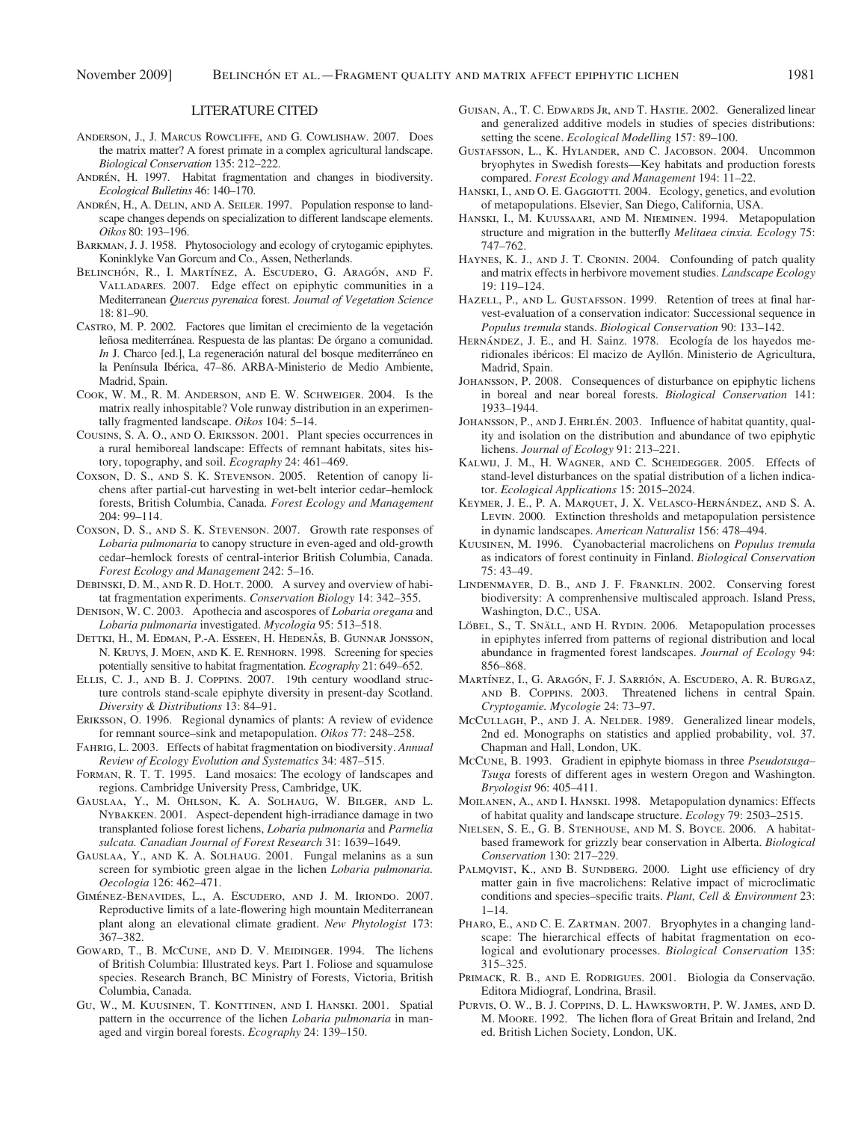#### LITERATURE CITED

- ANDERSON, J., J. MARCUS ROWCLIFFE, AND G. COWLISHAW. 2007. Does the matrix matter? A forest primate in a complex agricultural landscape. Biological Conservation 135: 212-222.
- ANDRÉN, H. 1997. Habitat fragmentation and changes in biodiversity. Ecological Bulletins 46: 140-170.
- ANDRÉN, H., A. DELIN, AND A. SEILER. 1997. Population response to landscape changes depends on specialization to different landscape elements. Oikos 80: 193-196.
- BARKMAN, J. J. 1958. Phytosociology and ecology of crytogamic epiphytes. Koninklyke Van Gorcum and Co., Assen, Netherlands.
- BELINCHÓN, R., I. MARTÍNEZ, A. ESCUDERO, G. ARAGÓN, AND F. VALLADARES. 2007. Edge effect on epiphytic communities in a Mediterranean *Quercus pyrenaica* forest. *Journal of Vegetation Science* 18: 81-90.
- CASTRO, M. P. 2002. Factores que limitan el crecimiento de la vegetación leñosa mediterránea. Respuesta de las plantas: De órgano a comunidad. *In* J. Charco [ed.], La regeneración natural del bosque mediterráneo en la Península Ibérica, 47-86. ARBA-Ministerio de Medio Ambiente, Madrid, Spain.
- COOK, W. M., R. M. ANDERSON, AND E. W. SCHWEIGER. 2004. Is the matrix really inhospitable? Vole runway distribution in an experimentally fragmented landscape. Oikos 104: 5-14.
- Cousins, S. A. O., and O. Eriksson . 2001 . Plant species occurrences in a rural hemiboreal landscape: Effects of remnant habitats, sites history, topography, and soil. *Ecography* 24: 461-469.
- COXSON, D. S., AND S. K. STEVENSON. 2005. Retention of canopy lichens after partial-cut harvesting in wet-belt interior cedar-hemlock forests, British Columbia, Canada. *Forest Ecology and Management* 204: 99-114.
- Coxson, D. S., and S. K. Stevenson . 2007 . Growth rate responses of *Lobaria pulmonaria* to canopy structure in even-aged and old-growth cedar – hemlock forests of central-interior British Columbia, Canada. *Forest Ecology and Management* 242: 5-16.
- DEBINSKI, D. M., AND R. D. HOLT. 2000. A survey and overview of habitat fragmentation experiments. *Conservation Biology* 14: 342–355.
- Denison, W. C. 2003 . Apothecia and ascospores of *Lobaria oregana* and *Lobaria pulmonaria* investigated. *Mycologia* 95 : 513 – 518 .
- DETTKI, H., M. EDMAN, P.-A. ESSEEN, H. HEDENÅS, B. GUNNAR JONSSON, N. KRUYS, J. MOEN, AND K. E. RENHORN. 1998. Screening for species potentially sensitive to habitat fragmentation. *Ecography* 21: 649-652.
- ELLIS, C. J., AND B. J. COPPINS. 2007. 19th century woodland structure controls stand-scale epiphyte diversity in present-day Scotland. *Diversity & Distributions* 13: 84-91.
- ERIKSSON, O. 1996. Regional dynamics of plants: A review of evidence for remnant source–sink and metapopulation. *Oikos* 77: 248–258.
- Fahrig, L. 2003 . Effects of habitat fragmentation on biodiversity. *Annual Review of Ecology Evolution and Systematics* 34: 487-515.
- FORMAN, R. T. T. 1995. Land mosaics: The ecology of landscapes and regions. Cambridge University Press, Cambridge, UK.
- Gauslaa, Y., M. Ohlson, K. A. Solhaug, W. Bilger, and L. NYBAKKEN. 2001. Aspect-dependent high-irradiance damage in two transplanted foliose forest lichens, *Lobaria pulmonaria* and *Parmelia sulcata. Canadian Journal of Forest Research* 31 : 1639 – 1649 .
- GAUSLAA, Y., AND K. A. SOLHAUG. 2001. Fungal melanins as a sun screen for symbiotic green algae in the lichen *Lobaria pulmonaria. Oecologia* 126: 462-471.
- GIMÉNEZ-BENAVIDES, L., A. Escudero, and J. M. Iriondo. 2007. Reproductive limits of a late-flowering high mountain Mediterranean plant along an elevational climate gradient. *New Phytologist* 173: 367 – 382 .
- GOWARD, T., B. McCUNE, AND D. V. MEIDINGER. 1994. The lichens of British Columbia: Illustrated keys. Part 1. Foliose and squamulose species. Research Branch, BC Ministry of Forests, Victoria, British Columbia, Canada.
- Gu, W., M. Kuusinen, T. Konttinen, and I. Hanski . 2001 . Spatial pattern in the occurrence of the lichen *Lobaria pulmonaria* in managed and virgin boreal forests. *Ecography* 24: 139-150.
- GUISAN, A., T. C. EDWARDS JR, AND T. HASTIE. 2002. Generalized linear and generalized additive models in studies of species distributions: setting the scene. *Ecological Modelling* 157: 89-100.
- GUSTAFSSON, L., K. HYLANDER, AND C. JACOBSON. 2004. Uncommon bryophytes in Swedish forests — Key habitats and production forests compared. Forest Ecology and Management 194: 11-22.
- HANSKI, I., AND O. E. GAGGIOTTI. 2004. Ecology, genetics, and evolution of metapopulations. Elsevier, San Diego, California, USA.
- HANSKI, I., M. KUUSSAARI, AND M. NIEMINEN. 1994. Metapopulation structure and migration in the butterfly *Melitaea cinxia. Ecology* 75: 747-762.
- HAYNES, K. J., AND J. T. CRONIN. 2004. Confounding of patch quality and matrix effects in herbivore movement studies. *Landscape Ecology* 19: 119-124.
- HAZELL, P., AND L. GUSTAFSSON. 1999. Retention of trees at final harvest-evaluation of a conservation indicator: Successional sequence in *Populus tremula stands. Biological Conservation* 90: 133-142.
- HERNÁNDEZ, J. E., and H. Sainz. 1978. Ecología de los hayedos meridionales ibéricos: El macizo de Ayllón. Ministerio de Agricultura, Madrid, Spain.
- JOHANSSON, P. 2008. Consequences of disturbance on epiphytic lichens in boreal and near boreal forests. *Biological Conservation* 141: 1933 – 1944.
- JOHANSSON, P., AND J. EHRLÉN. 2003. Influence of habitat quantity, quality and isolation on the distribution and abundance of two epiphytic lichens. *Journal of Ecology* 91: 213-221.
- KALWIJ, J. M., H. WAGNER, AND C. SCHEIDEGGER. 2005. Effects of stand-level disturbances on the spatial distribution of a lichen indicator. *Ecological Applications* 15: 2015-2024.
- KEYMER, J. E., P. A. MARQUET, J. X. VELASCO-HERNÁNDEZ, AND S. A. Levin. 2000. Extinction thresholds and metapopulation persistence in dynamic landscapes. *American Naturalist* 156: 478-494.
- Kuusinen, M. 1996 . Cyanobacterial macrolichens on *Populus tremula* as indicators of forest continuity in Finland. *Biological Conservation* 75: 43-49.
- LINDENMAYER, D. B., AND J. F. FRANKLIN. 2002. Conserving forest biodiversity: A comprenhensive multiscaled approach. Island Press, Washington, D.C., USA.
- LÖBEL, S., T. SNÄLL, AND H. RYDIN. 2006. Metapopulation processes in epiphytes inferred from patterns of regional distribution and local abundance in fragmented forest landscapes. *Journal of Ecology* 94 : 856-868.
- MARTÍNEZ, I., G. ARAGÓN, F. J. SARRIÓN, A. ESCUDERO, A. R. BURGAZ, AND B. COPPINS. 2003. Threatened lichens in central Spain. Cryptogamie. Mycologie 24: 73-97.
- McCULLAGH, P., AND J. A. NELDER. 1989. Generalized linear models, 2nd ed. Monographs on statistics and applied probability, vol. 37. Chapman and Hall, London, UK.
- McCune, B. 1993 . Gradient in epiphyte biomass in three *Pseudotsuga – Tsuga* forests of different ages in western Oregon and Washington. *Bryologist* 96 : 405 – 411 .
- MOILANEN, A., AND I. HANSKI. 1998. Metapopulation dynamics: Effects of habitat quality and landscape structure. *Ecology* 79: 2503-2515.
- Nielsen, S. E., G. B. Stenhouse, and M. S. Boyce . 2006 . A habitatbased framework for grizzly bear conservation in Alberta. *Biological*  Conservation 130: 217-229.
- PALMQVIST, K., AND B. SUNDBERG. 2000. Light use efficiency of dry matter gain in five macrolichens: Relative impact of microclimatic conditions and species-specific traits. *Plant, Cell & Environment* 23:  $1 - 14.$
- PHARO, E., AND C. E. ZARTMAN. 2007. Bryophytes in a changing landscape: The hierarchical effects of habitat fragmentation on ecological and evolutionary processes. *Biological Conservation* 135: 315 – 325.
- PRIMACK, R. B., AND E. RODRIGUES. 2001. Biologia da Conservação. Editora Midiograf, Londrina, Brasil.
- Purvis, O. W., B. J. Coppins, D. L. Hawksworth, P. W. James, and D. M. MOORE. 1992. The lichen flora of Great Britain and Ireland, 2nd ed. British Lichen Society, London, UK.